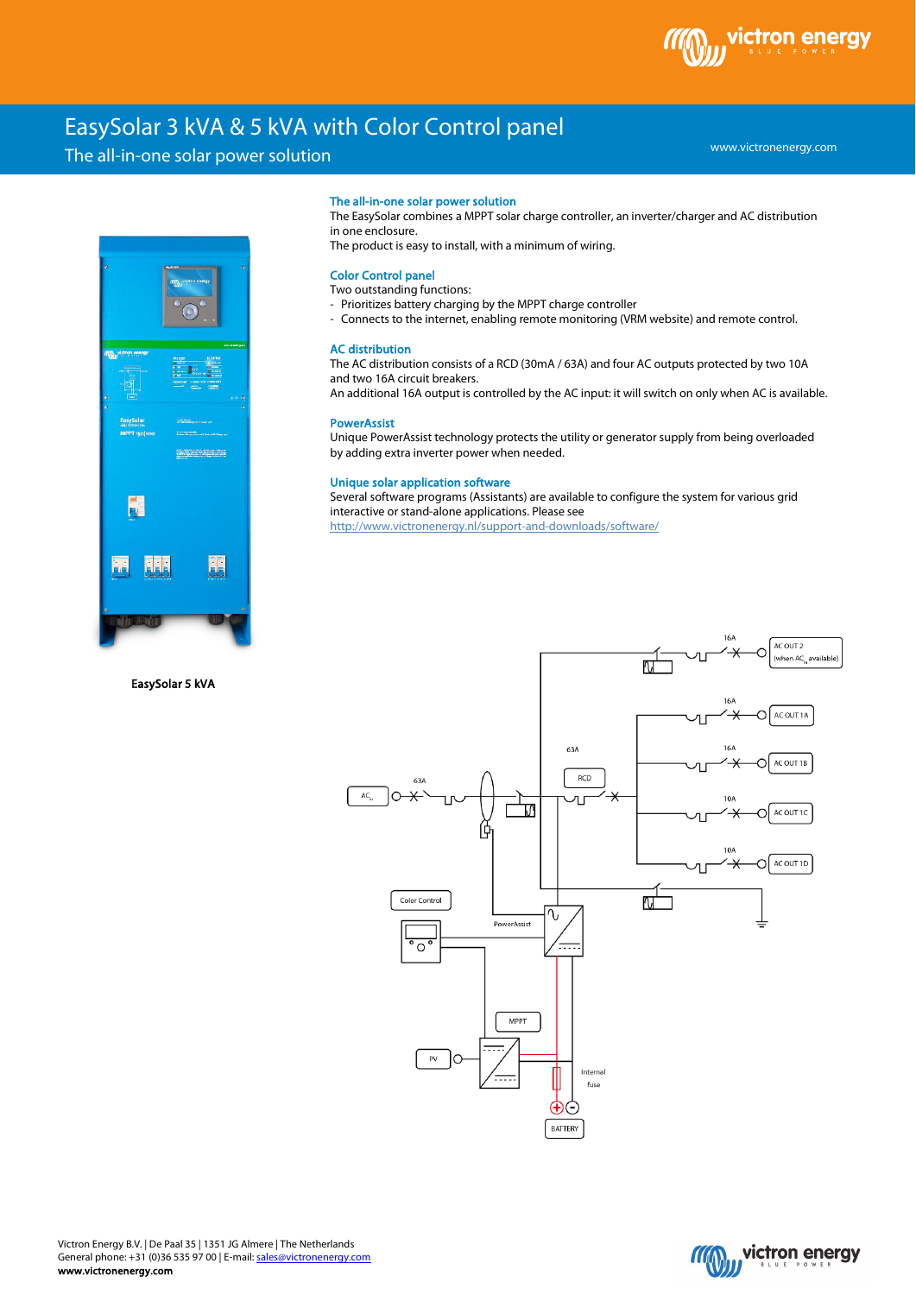

www.victronenergy.com

# EasySolar 3 kVA & 5 kVA with Color Control panel

## The all-in-one solar power solution



EasySolar 5 kVA

#### The all-in-one solar power solution

The EasySolar combines a MPPT solar charge controller, an inverter/charger and AC distribution in one enclosure.

The product is easy to install, with a minimum of wiring.

## Color Control panel

## Two outstanding functions:

- Prioritizes battery charging by the MPPT charge controller
- Connects to the internet, enabling remote monitoring (VRM website) and remote control.

### AC distribution

The AC distribution consists of a RCD (30mA / 63A) and four AC outputs protected by two 10A and two 16A circuit breakers.

An additional 16A output is controlled by the AC input: it will switch on only when AC is available.

#### **PowerAssist**

Unique PowerAssist technology protects the utility or generator supply from being overloaded by adding extra inverter power when needed.

## Unique solar application software

Several software programs (Assistants) are available to configure the system for various grid interactive or stand-alone applications. Please see <http://www.victronenergy.nl/support-and-downloads/software/>